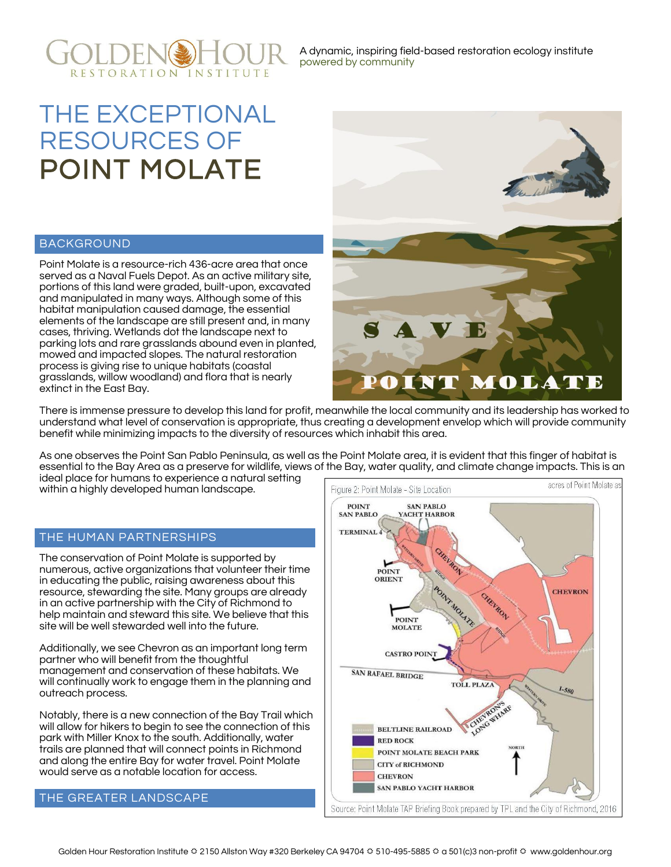# RESTORATION INSTITUTE

A dynamic, inspiring field-based restoration ecology institute powered by community

## THE EXCEPTIONAL RESOURCES OF POINT MOLATE

#### BACKGROUND

Point Molate is a resource-rich 436-acre area that once served as a Naval Fuels Depot. As an active military site, portions of this land were graded, built-upon, excavated and manipulated in many ways. Although some of this habitat manipulation caused damage, the essential elements of the landscape are still present and, in many cases, thriving. Wetlands dot the landscape next to parking lots and rare grasslands abound even in planted, mowed and impacted slopes. The natural restoration process is giving rise to unique habitats (coastal grasslands, willow woodland) and flora that is nearly extinct in the East Bay.



There is immense pressure to develop this land for profit, meanwhile the local community and its leadership has worked to understand what level of conservation is appropriate, thus creating a development envelop which will provide community benefit while minimizing impacts to the diversity of resources which inhabit this area.

As one observes the Point San Pablo Peninsula, as well as the Point Molate area, it is evident that this finger of habitat is essential to the Bay Area as a preserve for wildlife, views of the Bay, water quality, and climate change impacts. This is an ideal place for humans to experience a natural setting

within a highly developed human landscape.

#### THE HUMAN PARTNERSHIPS

The conservation of Point Molate is supported by numerous, active organizations that volunteer their time in educating the public, raising awareness about this resource, stewarding the site. Many groups are already in an active partnership with the City of Richmond to help maintain and steward this site. We believe that this site will be well stewarded well into the future.

Additionally, we see Chevron as an important long term partner who will benefit from the thoughtful management and conservation of these habitats. We will continually work to engage them in the planning and outreach process.

Notably, there is a new connection of the Bay Trail which will allow for hikers to begin to see the connection of this park with Miller Knox to the south. Additionally, water trails are planned that will connect points in Richmond and along the entire Bay for water travel. Point Molate would serve as a notable location for access.

#### THE GREATER LANDSCAPE

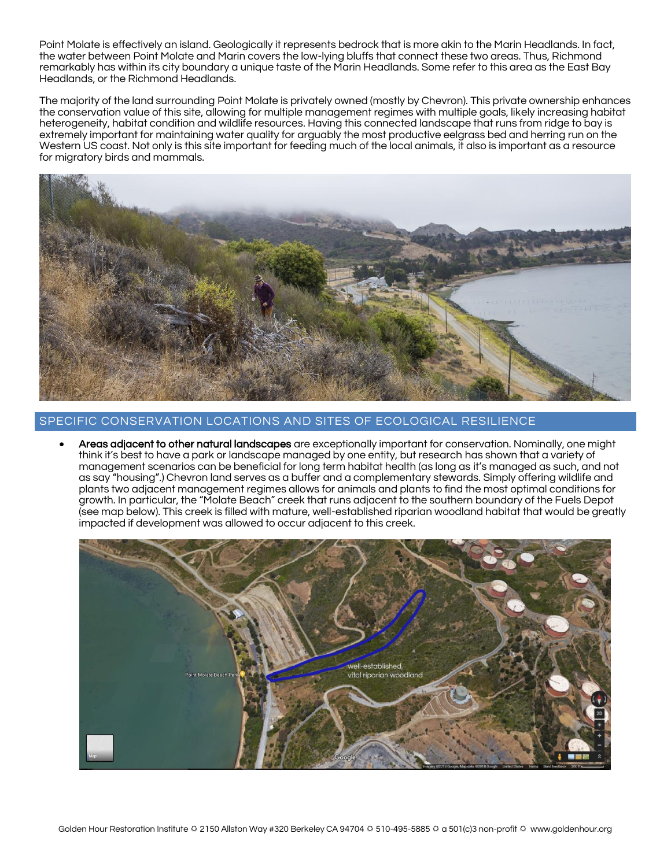Point Molate is effectively an island. Geologically it represents bedrock that is more akin to the Marin Headlands. In fact, the water between Point Molate and Marin covers the low-lying bluffs that connect these two areas. Thus, Richmond remarkably has within its city boundary a unique taste of the Marin Headlands. Some refer to this area as the East Bay Headlands, or the Richmond Headlands.

The majority of the land surrounding Point Molate is privately owned (mostly by Chevron). This private ownership enhances the conservation value of this site, allowing for multiple management regimes with multiple goals, likely increasing habitat heterogeneity, habitat condition and wildlife resources. Having this connected landscape that runs from ridge to bay is extremely important for maintaining water quality for arguably the most productive eelgrass bed and herring run on the Western US coast. Not only is this site important for feeding much of the local animals, it also is important as a resource for migratory birds and mammals.



SPECIFIC CONSERVATION LOCATIONS AND SITES OF ECOLOGICAL RESILIENCE

 Areas adjacent to other natural landscapes are exceptionally important for conservation. Nominally, one might think it's best to have a park or landscape managed by one entity, but research has shown that a variety of management scenarios can be beneficial for long term habitat health (as long as it's managed as such, and not as say "housing".) Chevron land serves as a buffer and a complementary stewards. Simply offering wildlife and plants two adjacent management regimes allows for animals and plants to find the most optimal conditions for growth. In particular, the "Molate Beach" creek that runs adjacent to the southern boundary of the Fuels Depot (see map below). This creek is filled with mature, well-established riparian woodland habitat that would be greatly impacted if development was allowed to occur adjacent to this creek.

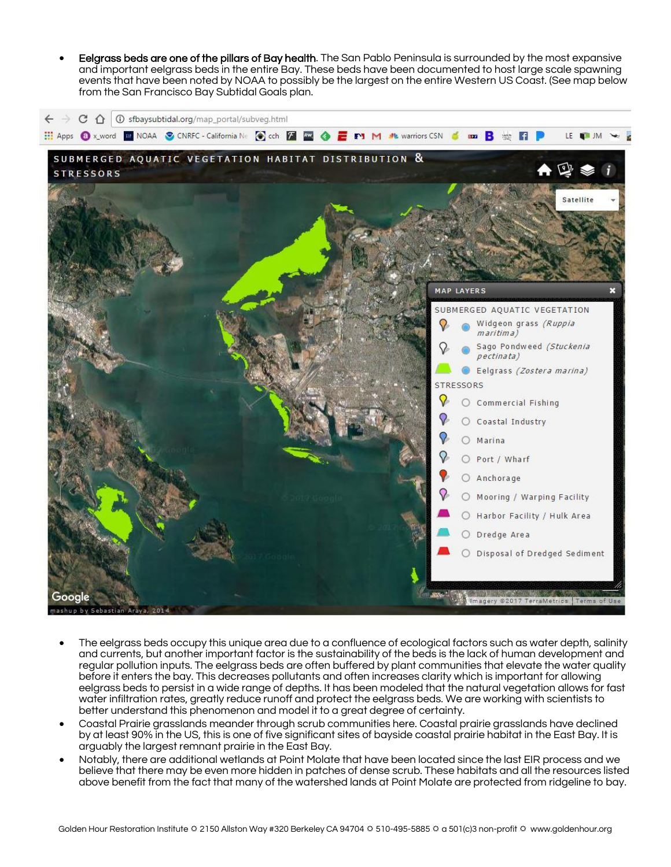Eelgrass beds are one of the pillars of Bay health. The San Pablo Peninsula is surrounded by the most expansive and important eelgrass beds in the entire Bay. These beds have been documented to host large scale spawning events that have been noted by NOAA to possibly be the largest on the entire Western US Coast. (See map below from the San Francisco Bay Subtidal Goals plan.



- The eelgrass beds occupy this unique area due to a confluence of ecological factors such as water depth, salinity and currents, but another important factor is the sustainability of the beds is the lack of human development and regular pollution inputs. The eelgrass beds are often buffered by plant communities that elevate the water quality before it enters the bay. This decreases pollutants and often increases clarity which is important for allowing eelgrass beds to persist in a wide range of depths. It has been modeled that the natural vegetation allows for fast water infiltration rates, greatly reduce runoff and protect the eelgrass beds. We are working with scientists to better understand this phenomenon and model it to a great degree of certainty.
- Coastal Prairie grasslands meander through scrub communities here. Coastal prairie grasslands have declined by at least 90% in the US, this is one of five significant sites of bayside coastal prairie habitat in the East Bay. It is arguably the largest remnant prairie in the East Bay.
- Notably, there are additional wetlands at Point Molate that have been located since the last EIR process and we believe that there may be even more hidden in patches of dense scrub. These habitats and all the resources listed above benefit from the fact that many of the watershed lands at Point Molate are protected from ridgeline to bay.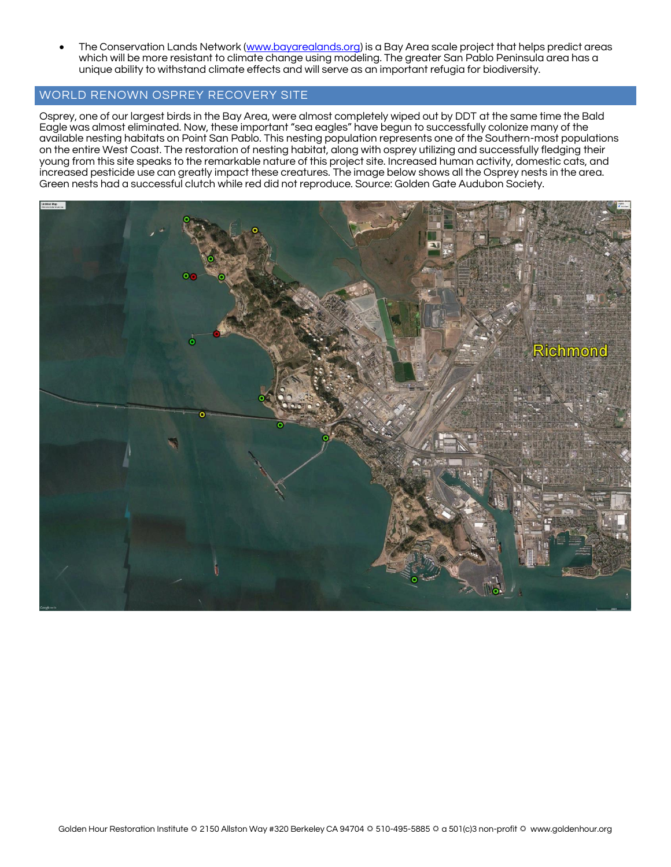The Conservation Lands Network [\(www.bayarealands.org\)](http://www.bayarealands.org/) is a Bay Area scale project that helps predict areas which will be more resistant to climate change using modeling. The greater San Pablo Peninsula area has a unique ability to withstand climate effects and will serve as an important refugia for biodiversity.

#### WORLD RENOWN OSPREY RECOVERY SITE

Osprey, one of our largest birds in the Bay Area, were almost completely wiped out by DDT at the same time the Bald Eagle was almost eliminated. Now, these important "sea eagles" have begun to successfully colonize many of the available nesting habitats on Point San Pablo. This nesting population represents one of the Southern-most populations on the entire West Coast. The restoration of nesting habitat, along with osprey utilizing and successfully fledging their young from this site speaks to the remarkable nature of this project site. Increased human activity, domestic cats, and increased pesticide use can greatly impact these creatures. The image below shows all the Osprey nests in the area. Green nests had a successful clutch while red did not reproduce. Source: Golden Gate Audubon Society.

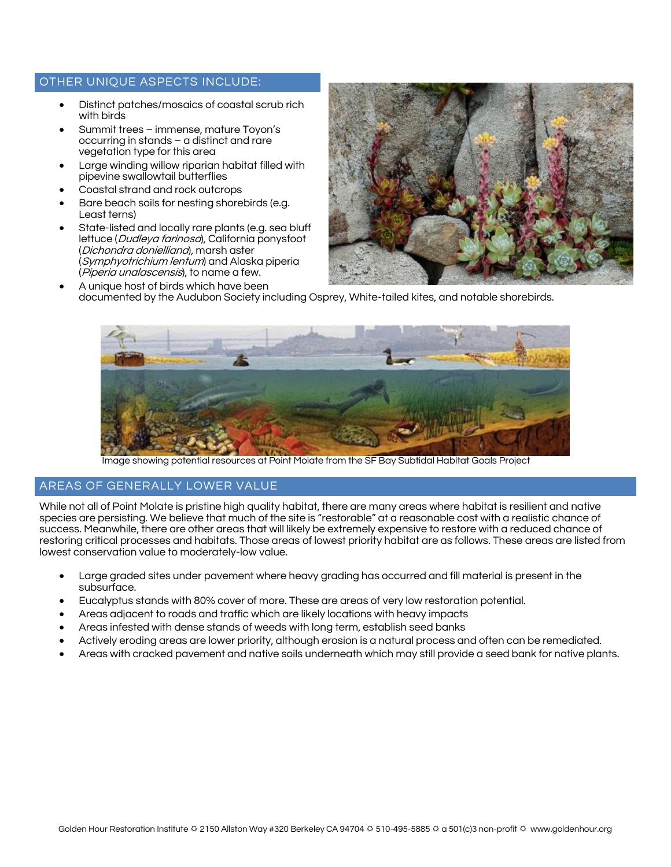#### OTHER UNIQUE ASPECTS INCLUDE:

- Distinct patches/mosaics of coastal scrub rich with birds
- Summit trees immense, mature Toyon's occurring in stands – a distinct and rare vegetation type for this area
- Large winding willow riparian habitat filled with pipevine swallowtail butterflies
- Coastal strand and rock outcrops
- Bare beach soils for nesting shorebirds (e.g. Least terns)
- State-listed and locally rare plants (e.g. sea bluff lettuce (*Dudleya farinosa*), California ponysfoot (Dichondra donielliana), marsh aster (Symphyotrichium lentum) and Alaska piperia (Piperia unalascensis), to name a few.



 A unique host of birds which have been documented by the Audubon Society including Osprey, White-tailed kites, and notable shorebirds.



Image showing potential resources at Point Molate from the SF Bay Subtidal Habitat Goals Project

#### AREAS OF GENERALLY LOWER VALUE

While not all of Point Molate is pristine high quality habitat, there are many areas where habitat is resilient and native species are persisting. We believe that much of the site is "restorable" at a reasonable cost with a realistic chance of success. Meanwhile, there are other areas that will likely be extremely expensive to restore with a reduced chance of restoring critical processes and habitats. Those areas of lowest priority habitat are as follows. These areas are listed from lowest conservation value to moderately-low value.

- Large graded sites under pavement where heavy grading has occurred and fill material is present in the subsurface.
- Eucalyptus stands with 80% cover of more. These are areas of very low restoration potential.
- Areas adjacent to roads and traffic which are likely locations with heavy impacts
- Areas infested with dense stands of weeds with long term, establish seed banks
- Actively eroding areas are lower priority, although erosion is a natural process and often can be remediated.
- Areas with cracked pavement and native soils underneath which may still provide a seed bank for native plants.